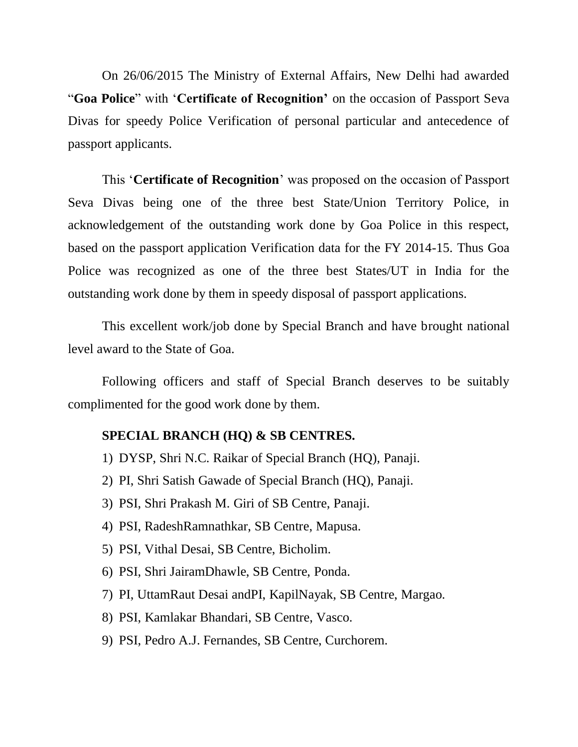On 26/06/2015 The Ministry of External Affairs, New Delhi had awarded "**Goa Police**" with "**Certificate of Recognition'** on the occasion of Passport Seva Divas for speedy Police Verification of personal particular and antecedence of passport applicants.

This "**Certificate of Recognition**" was proposed on the occasion of Passport Seva Divas being one of the three best State/Union Territory Police, in acknowledgement of the outstanding work done by Goa Police in this respect, based on the passport application Verification data for the FY 2014-15. Thus Goa Police was recognized as one of the three best States/UT in India for the outstanding work done by them in speedy disposal of passport applications.

This excellent work/job done by Special Branch and have brought national level award to the State of Goa.

Following officers and staff of Special Branch deserves to be suitably complimented for the good work done by them.

## **SPECIAL BRANCH (HQ) & SB CENTRES.**

- 1) DYSP, Shri N.C. Raikar of Special Branch (HQ), Panaji.
- 2) PI, Shri Satish Gawade of Special Branch (HQ), Panaji.
- 3) PSI, Shri Prakash M. Giri of SB Centre, Panaji.
- 4) PSI, RadeshRamnathkar, SB Centre, Mapusa.
- 5) PSI, Vithal Desai, SB Centre, Bicholim.
- 6) PSI, Shri JairamDhawle, SB Centre, Ponda.
- 7) PI, UttamRaut Desai andPI, KapilNayak, SB Centre, Margao.
- 8) PSI, Kamlakar Bhandari, SB Centre, Vasco.
- 9) PSI, Pedro A.J. Fernandes, SB Centre, Curchorem.